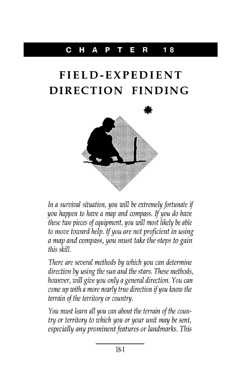## C HAP T E R **18**

## **FIELD-EXPEDIENT**



In a survival situation, you will be extremely fortunate if you happen to have a map and compass. If you do have these two pieces of equipment, you will most likely be able to move toward help. If you are not proficient in using a map and compass, you must take the steps to gain this skill.

There are several methods by which you can determine direction by using the sun and the stars. These methods, however, will give you only a general direction. You can come up with <sup>a</sup> more nearly true direction if you know the terrain of the territory or country.

You must learn all you can about the terrain of the country or territory to which you or your unit may be sent, especially any prominent features or landmarks. This